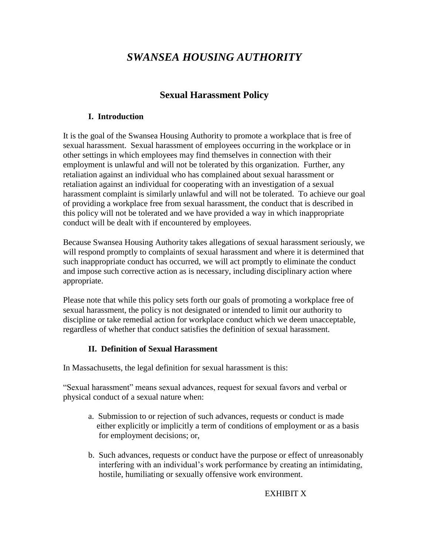# *SWANSEA HOUSING AUTHORITY*

# **Sexual Harassment Policy**

#### **I. Introduction**

It is the goal of the Swansea Housing Authority to promote a workplace that is free of sexual harassment. Sexual harassment of employees occurring in the workplace or in other settings in which employees may find themselves in connection with their employment is unlawful and will not be tolerated by this organization. Further, any retaliation against an individual who has complained about sexual harassment or retaliation against an individual for cooperating with an investigation of a sexual harassment complaint is similarly unlawful and will not be tolerated. To achieve our goal of providing a workplace free from sexual harassment, the conduct that is described in this policy will not be tolerated and we have provided a way in which inappropriate conduct will be dealt with if encountered by employees.

Because Swansea Housing Authority takes allegations of sexual harassment seriously, we will respond promptly to complaints of sexual harassment and where it is determined that such inappropriate conduct has occurred, we will act promptly to eliminate the conduct and impose such corrective action as is necessary, including disciplinary action where appropriate.

Please note that while this policy sets forth our goals of promoting a workplace free of sexual harassment, the policy is not designated or intended to limit our authority to discipline or take remedial action for workplace conduct which we deem unacceptable, regardless of whether that conduct satisfies the definition of sexual harassment.

# **II. Definition of Sexual Harassment**

In Massachusetts, the legal definition for sexual harassment is this:

"Sexual harassment" means sexual advances, request for sexual favors and verbal or physical conduct of a sexual nature when:

- a. Submission to or rejection of such advances, requests or conduct is made either explicitly or implicitly a term of conditions of employment or as a basis for employment decisions; or,
- b. Such advances, requests or conduct have the purpose or effect of unreasonably interfering with an individual's work performance by creating an intimidating, hostile, humiliating or sexually offensive work environment.

#### EXHIBIT X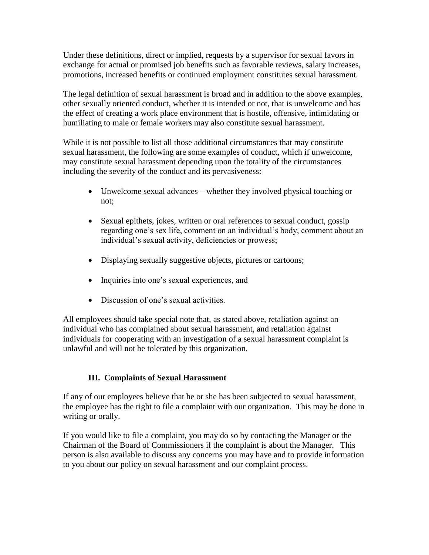Under these definitions, direct or implied, requests by a supervisor for sexual favors in exchange for actual or promised job benefits such as favorable reviews, salary increases, promotions, increased benefits or continued employment constitutes sexual harassment.

The legal definition of sexual harassment is broad and in addition to the above examples, other sexually oriented conduct, whether it is intended or not, that is unwelcome and has the effect of creating a work place environment that is hostile, offensive, intimidating or humiliating to male or female workers may also constitute sexual harassment.

While it is not possible to list all those additional circumstances that may constitute sexual harassment, the following are some examples of conduct, which if unwelcome, may constitute sexual harassment depending upon the totality of the circumstances including the severity of the conduct and its pervasiveness:

- Unwelcome sexual advances whether they involved physical touching or not;
- Sexual epithets, jokes, written or oral references to sexual conduct, gossip regarding one's sex life, comment on an individual's body, comment about an individual's sexual activity, deficiencies or prowess;
- Displaying sexually suggestive objects, pictures or cartoons;
- Inquiries into one's sexual experiences, and
- Discussion of one's sexual activities.

All employees should take special note that, as stated above, retaliation against an individual who has complained about sexual harassment, and retaliation against individuals for cooperating with an investigation of a sexual harassment complaint is unlawful and will not be tolerated by this organization.

# **III. Complaints of Sexual Harassment**

If any of our employees believe that he or she has been subjected to sexual harassment, the employee has the right to file a complaint with our organization. This may be done in writing or orally.

If you would like to file a complaint, you may do so by contacting the Manager or the Chairman of the Board of Commissioners if the complaint is about the Manager. This person is also available to discuss any concerns you may have and to provide information to you about our policy on sexual harassment and our complaint process.